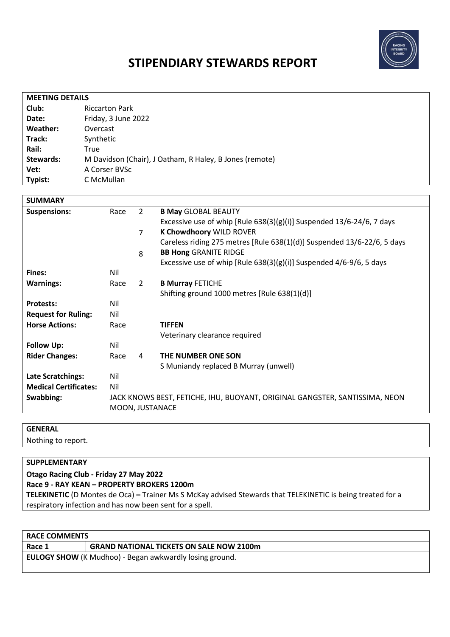

# **STIPENDIARY STEWARDS REPORT**

| <b>MEETING DETAILS</b> |                                                         |  |
|------------------------|---------------------------------------------------------|--|
| Club:                  | <b>Riccarton Park</b>                                   |  |
| Date:                  | Friday, 3 June 2022                                     |  |
| Weather:               | Overcast                                                |  |
| Track:                 | Synthetic                                               |  |
| Rail:                  | True                                                    |  |
| <b>Stewards:</b>       | M Davidson (Chair), J Oatham, R Haley, B Jones (remote) |  |
| Vet:                   | A Corser BVSc                                           |  |
| Typist:                | C McMullan                                              |  |

| <b>SUMMARY</b>               |                 |                |                                                                             |
|------------------------------|-----------------|----------------|-----------------------------------------------------------------------------|
| <b>Suspensions:</b>          | Race            | $\overline{2}$ | <b>B May GLOBAL BEAUTY</b>                                                  |
|                              |                 |                | Excessive use of whip [Rule $638(3)(g)(i)$ ] Suspended $13/6-24/6$ , 7 days |
|                              |                 | $\overline{7}$ | <b>K Chowdhoory WILD ROVER</b>                                              |
|                              |                 |                | Careless riding 275 metres [Rule 638(1)(d)] Suspended 13/6-22/6, 5 days     |
|                              |                 | 8              | <b>BB Hong GRANITE RIDGE</b>                                                |
|                              |                 |                | Excessive use of whip [Rule $638(3)(g)(i)$ ] Suspended $4/6-9/6$ , 5 days   |
| Fines:                       | Nil             |                |                                                                             |
| <b>Warnings:</b>             | Race            | 2              | <b>B Murray FETICHE</b>                                                     |
|                              |                 |                | Shifting ground 1000 metres [Rule 638(1)(d)]                                |
| <b>Protests:</b>             | Nil             |                |                                                                             |
| <b>Request for Ruling:</b>   | Nil             |                |                                                                             |
| <b>Horse Actions:</b>        | Race            |                | <b>TIFFEN</b>                                                               |
|                              |                 |                | Veterinary clearance required                                               |
| <b>Follow Up:</b>            | Nil             |                |                                                                             |
| <b>Rider Changes:</b>        | Race            | 4              | THE NUMBER ONE SON                                                          |
|                              |                 |                | S Muniandy replaced B Murray (unwell)                                       |
| <b>Late Scratchings:</b>     | Nil             |                |                                                                             |
| <b>Medical Certificates:</b> | Nil             |                |                                                                             |
| Swabbing:                    |                 |                | JACK KNOWS BEST, FETICHE, IHU, BUOYANT, ORIGINAL GANGSTER, SANTISSIMA, NEON |
|                              | MOON, JUSTANACE |                |                                                                             |

# **GENERAL**

Nothing to report.

# **SUPPLEMENTARY**

**Otago Racing Club - Friday 27 May 2022 Race 9 - RAY KEAN – PROPERTY BROKERS 1200m TELEKINETIC** (D Montes de Oca) **–** Trainer Ms S McKay advised Stewards that TELEKINETIC is being treated for a respiratory infection and has now been sent for a spell.

| <b>RACE COMMENTS</b>                                    |                                                 |  |  |
|---------------------------------------------------------|-------------------------------------------------|--|--|
| Race 1                                                  | <b>GRAND NATIONAL TICKETS ON SALE NOW 2100m</b> |  |  |
| EULOGY SHOW (K Mudhoo) - Began awkwardly losing ground. |                                                 |  |  |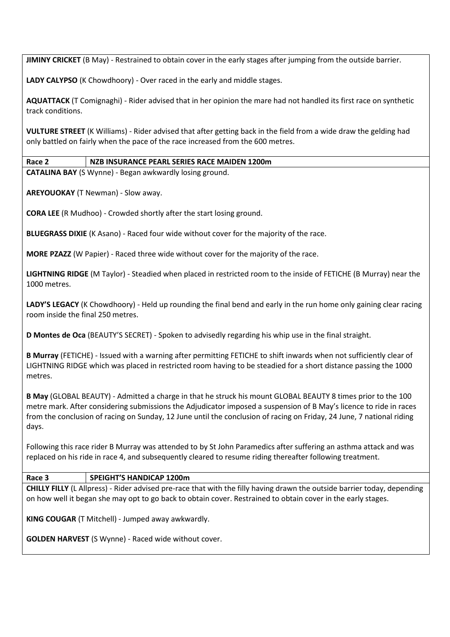**JIMINY CRICKET** (B May) - Restrained to obtain cover in the early stages after jumping from the outside barrier.

**LADY CALYPSO** (K Chowdhoory) - Over raced in the early and middle stages.

**AQUATTACK** (T Comignaghi) - Rider advised that in her opinion the mare had not handled its first race on synthetic track conditions.

**VULTURE STREET** (K Williams) - Rider advised that after getting back in the field from a wide draw the gelding had only battled on fairly when the pace of the race increased from the 600 metres.

## **Race 2 NZB INSURANCE PEARL SERIES RACE MAIDEN 1200m**

**CATALINA BAY** (S Wynne) - Began awkwardly losing ground.

**AREYOUOKAY** (T Newman) - Slow away.

**CORA LEE** (R Mudhoo) - Crowded shortly after the start losing ground.

**BLUEGRASS DIXIE** (K Asano) - Raced four wide without cover for the majority of the race.

**MORE PZAZZ** (W Papier) - Raced three wide without cover for the majority of the race.

**LIGHTNING RIDGE** (M Taylor) - Steadied when placed in restricted room to the inside of FETICHE (B Murray) near the 1000 metres.

**LADY'S LEGACY** (K Chowdhoory) - Held up rounding the final bend and early in the run home only gaining clear racing room inside the final 250 metres.

**D Montes de Oca** (BEAUTY'S SECRET) - Spoken to advisedly regarding his whip use in the final straight.

**B Murray** (FETICHE) - Issued with a warning after permitting FETICHE to shift inwards when not sufficiently clear of LIGHTNING RIDGE which was placed in restricted room having to be steadied for a short distance passing the 1000 metres.

**B May** (GLOBAL BEAUTY) - Admitted a charge in that he struck his mount GLOBAL BEAUTY 8 times prior to the 100 metre mark. After considering submissions the Adjudicator imposed a suspension of B May's licence to ride in races from the conclusion of racing on Sunday, 12 June until the conclusion of racing on Friday, 24 June, 7 national riding days.

Following this race rider B Murray was attended to by St John Paramedics after suffering an asthma attack and was replaced on his ride in race 4, and subsequently cleared to resume riding thereafter following treatment.

#### **Race 3 SPEIGHT'S HANDICAP 1200m**

**CHILLY FILLY** (L Allpress) - Rider advised pre-race that with the filly having drawn the outside barrier today, depending on how well it began she may opt to go back to obtain cover. Restrained to obtain cover in the early stages.

**KING COUGAR** (T Mitchell) - Jumped away awkwardly.

**GOLDEN HARVEST** (S Wynne) - Raced wide without cover.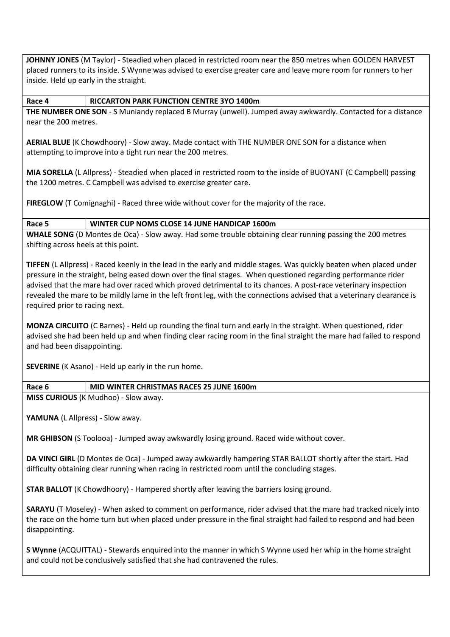**JOHNNY JONES** (M Taylor) - Steadied when placed in restricted room near the 850 metres when GOLDEN HARVEST placed runners to its inside. S Wynne was advised to exercise greater care and leave more room for runners to her inside. Held up early in the straight.

#### **Race 4 RICCARTON PARK FUNCTION CENTRE 3YO 1400m**

**THE NUMBER ONE SON** - S Muniandy replaced B Murray (unwell). Jumped away awkwardly. Contacted for a distance near the 200 metres.

**AERIAL BLUE** (K Chowdhoory) - Slow away. Made contact with THE NUMBER ONE SON for a distance when attempting to improve into a tight run near the 200 metres.

**MIA SORELLA** (L Allpress) - Steadied when placed in restricted room to the inside of BUOYANT (C Campbell) passing the 1200 metres. C Campbell was advised to exercise greater care.

**FIREGLOW** (T Comignaghi) - Raced three wide without cover for the majority of the race.

## **Race 5 WINTER CUP NOMS CLOSE 14 JUNE HANDICAP 1600m**

**WHALE SONG** (D Montes de Oca) - Slow away. Had some trouble obtaining clear running passing the 200 metres shifting across heels at this point.

**TIFFEN** (L Allpress) - Raced keenly in the lead in the early and middle stages. Was quickly beaten when placed under pressure in the straight, being eased down over the final stages.When questioned regarding performance rider advised that the mare had over raced which proved detrimental to its chances. A post-race veterinary inspection revealed the mare to be mildly lame in the left front leg, with the connections advised that a veterinary clearance is required prior to racing next.

**MONZA CIRCUITO** (C Barnes) - Held up rounding the final turn and early in the straight. When questioned, rider advised she had been held up and when finding clear racing room in the final straight the mare had failed to respond and had been disappointing.

**SEVERINE** (K Asano) - Held up early in the run home.

## **Race 6 MID WINTER CHRISTMAS RACES 25 JUNE 1600m**

**MISS CURIOUS** (K Mudhoo) - Slow away.

YAMUNA (L Allpress) - Slow away.

**MR GHIBSON** (S Toolooa) - Jumped away awkwardly losing ground. Raced wide without cover.

**DA VINCI GIRL** (D Montes de Oca) - Jumped away awkwardly hampering STAR BALLOT shortly after the start. Had difficulty obtaining clear running when racing in restricted room until the concluding stages.

**STAR BALLOT** (K Chowdhoory) - Hampered shortly after leaving the barriers losing ground.

**SARAYU** (T Moseley) - When asked to comment on performance, rider advised that the mare had tracked nicely into the race on the home turn but when placed under pressure in the final straight had failed to respond and had been disappointing.

**S Wynne** (ACQUITTAL) - Stewards enquired into the manner in which S Wynne used her whip in the home straight and could not be conclusively satisfied that she had contravened the rules.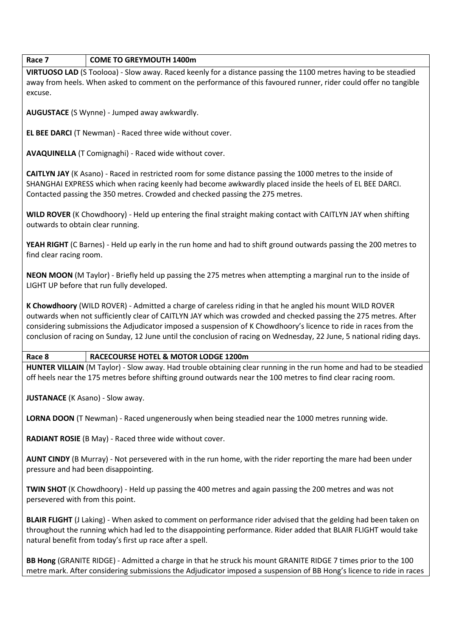#### **Race 7 COME TO GREYMOUTH 1400m**

**VIRTUOSO LAD** (S Toolooa) - Slow away. Raced keenly for a distance passing the 1100 metres having to be steadied away from heels. When asked to comment on the performance of this favoured runner, rider could offer no tangible excuse.

**AUGUSTACE** (S Wynne) - Jumped away awkwardly.

**EL BEE DARCI** (T Newman) - Raced three wide without cover.

**AVAQUINELLA** (T Comignaghi) - Raced wide without cover.

**CAITLYN JAY** (K Asano) - Raced in restricted room for some distance passing the 1000 metres to the inside of SHANGHAI EXPRESS which when racing keenly had become awkwardly placed inside the heels of EL BEE DARCI. Contacted passing the 350 metres. Crowded and checked passing the 275 metres.

**WILD ROVER** (K Chowdhoory) - Held up entering the final straight making contact with CAITLYN JAY when shifting outwards to obtain clear running.

**YEAH RIGHT** (C Barnes) - Held up early in the run home and had to shift ground outwards passing the 200 metres to find clear racing room.

**NEON MOON** (M Taylor) - Briefly held up passing the 275 metres when attempting a marginal run to the inside of LIGHT UP before that run fully developed.

**K Chowdhoory** (WILD ROVER) - Admitted a charge of careless riding in that he angled his mount WILD ROVER outwards when not sufficiently clear of CAITLYN JAY which was crowded and checked passing the 275 metres. After considering submissions the Adjudicator imposed a suspension of K Chowdhoory's licence to ride in races from the conclusion of racing on Sunday, 12 June until the conclusion of racing on Wednesday, 22 June, 5 national riding days.

#### **Race 8 RACECOURSE HOTEL & MOTOR LODGE 1200m**

**HUNTER VILLAIN** (M Taylor) - Slow away. Had trouble obtaining clear running in the run home and had to be steadied off heels near the 175 metres before shifting ground outwards near the 100 metres to find clear racing room.

**JUSTANACE** (K Asano) - Slow away.

**LORNA DOON** (T Newman) - Raced ungenerously when being steadied near the 1000 metres running wide.

**RADIANT ROSIE** (B May) - Raced three wide without cover.

**AUNT CINDY** (B Murray) - Not persevered with in the run home, with the rider reporting the mare had been under pressure and had been disappointing.

**TWIN SHOT** (K Chowdhoory) - Held up passing the 400 metres and again passing the 200 metres and was not persevered with from this point.

**BLAIR FLIGHT** (J Laking) - When asked to comment on performance rider advised that the gelding had been taken on throughout the running which had led to the disappointing performance. Rider added that BLAIR FLIGHT would take natural benefit from today's first up race after a spell.

**BB Hong** (GRANITE RIDGE) - Admitted a charge in that he struck his mount GRANITE RIDGE 7 times prior to the 100 metre mark. After considering submissions the Adjudicator imposed a suspension of BB Hong's licence to ride in races